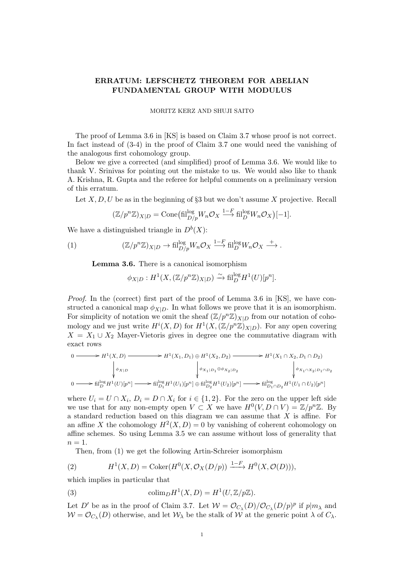## ERRATUM: LEFSCHETZ THEOREM FOR ABELIAN FUNDAMENTAL GROUP WITH MODULUS

## MORITZ KERZ AND SHUJI SAITO

The proof of Lemma 3.6 in [KS] is based on Claim 3.7 whose proof is not correct. In fact instead of (3-4) in the proof of Claim 3.7 one would need the vanishing of the analogous first cohomology group.

Below we give a corrected (and simplified) proof of Lemma 3.6. We would like to thank V. Srinivas for pointing out the mistake to us. We would also like to thank A. Krishna, R. Gupta and the referee for helpful comments on a preliminary version of this erratum.

Let  $X, D, U$  be as in the beginning of  $\S 3$  but we don't assume X projective. Recall

$$
(\mathbb{Z}/p^n\mathbb{Z})_{X|D} = \text{Cone}(\text{fil}_{D/p}^{\text{log}} W_n \mathcal{O}_X \stackrel{1-F}{\longrightarrow} \text{fil}_{D}^{\text{log}} W_n \mathcal{O}_X)[-1].
$$

We have a distinguished triangle in  $D^b(X)$ :

(1) 
$$
(\mathbb{Z}/p^n\mathbb{Z})_{X|D} \to \operatorname{fil}^{\log}_{D/p}W_n\mathcal{O}_X \xrightarrow{1-F} \operatorname{fil}^{\log}_{D}W_n\mathcal{O}_X \xrightarrow{+}.
$$

Lemma 3.6. There is a canonical isomorphism

$$
\phi_{X|D}:H^1(X,(\mathbb{Z}/p^n\mathbb{Z})_{X|D})\xrightarrow{\sim} \operatorname{fil}_D^{\operatorname{log}} H^1(U)[p^n].
$$

*Proof.* In the (correct) first part of the proof of Lemma 3.6 in  $[KS]$ , we have constructed a canonical map  $\phi_{X|D}$ . In what follows we prove that it is an isomorphism. For simplicity of notation we omit the sheaf  $(\mathbb{Z}/p^n\mathbb{Z})_{X|D}$  from our notation of cohomology and we just write  $H^{i}(X, D)$  for  $H^{1}(X, (\mathbb{Z}/p^{n}\mathbb{Z})_{X|D})$ . For any open covering  $X = X_1 \cup X_2$  Mayer-Vietoris gives in degree one the commutative diagram with exact rows

$$
0 \longrightarrow H^{1}(X, D) \longrightarrow H^{1}(X_{1}, D_{1}) \oplus H^{1}(X_{2}, D_{2}) \longrightarrow H^{1}(X_{1} \cap X_{2}, D_{1} \cap D_{2})
$$
\n
$$
\downarrow \phi_{X_{1}D}
$$
\n
$$
0 \longrightarrow \text{fil}_{D}^{\log} H^{1}(U)[p^{n}] \longrightarrow \text{fil}_{D_{1}}^{\log} H^{1}(U_{1})[p^{n}] \oplus \text{fil}_{D_{2}}^{\log} H^{1}(U_{2})[p^{n}] \longrightarrow \text{fil}_{D_{1} \cap D_{2}}^{\log} H^{1}(U_{1} \cap U_{2})[p^{n}]
$$

where  $U_i = U \cap X_i$ ,  $D_i = D \cap X_i$  for  $i \in \{1, 2\}$ . For the zero on the upper left side we use that for any non-empty open  $V \subset X$  we have  $H^0(V, D \cap V) = \mathbb{Z}/p^n\mathbb{Z}$ . By a standard reduction based on this diagram we can assume that X is affine. For an affine X the cohomology  $H^2(X, D) = 0$  by vanishing of coherent cohomology on affine schemes. So using Lemma 3.5 we can assume without loss of generality that  $n=1$ .

Then, from (1) we get the following Artin-Schreier isomorphism

(2) 
$$
H^1(X, D) = \text{Coker}(H^0(X, \mathcal{O}_X(D/p))) \xrightarrow{1-F} H^0(X, \mathcal{O}(D))),
$$

which implies in particular that

(3) 
$$
\operatorname{colim}_D H^1(X, D) = H^1(U, \mathbb{Z}/p\mathbb{Z}).
$$

Let D' be as in the proof of Claim 3.7. Let  $W = \mathcal{O}_{C_\lambda}(D)/\mathcal{O}_{C_\lambda}(D/p)^p$  if  $p|m_\lambda$  and  $\mathcal{W} = \mathcal{O}_{C_{\lambda}}(D)$  otherwise, and let  $\mathcal{W}_{\lambda}$  be the stalk of  $\mathcal{W}$  at the generic point  $\lambda$  of  $C_{\lambda}$ .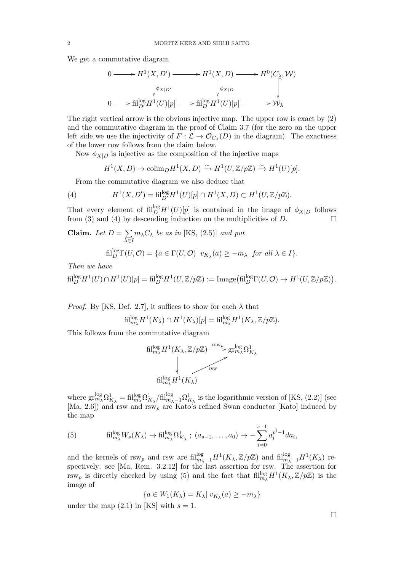We get a commutative diagram

$$
0 \longrightarrow H^{1}(X, D') \longrightarrow H^{1}(X, D) \longrightarrow H^{0}(C_{\lambda}, W)
$$
  
\n
$$
\downarrow \phi_{X|D'}
$$
  
\n
$$
0 \longrightarrow \text{fil}_{D'}^{\log} H^{1}(U)[p] \longrightarrow \text{fil}_{D}^{\log} H^{1}(U)[p] \longrightarrow W_{\lambda}
$$

The right vertical arrow is the obvious injective map. The upper row is exact by (2) and the commutative diagram in the proof of Claim 3.7 (for the zero on the upper left side we use the injectivity of  $F : \mathcal{L} \to \mathcal{O}_{C_{\lambda}}(D)$  in the diagram). The exactness of the lower row follows from the claim below.

Now  $\phi_{X|D}$  is injective as the composition of the injective maps

$$
H^1(X, D) \to \mathrm{colim}_D H^1(X, D) \xrightarrow{\sim} H^1(U, \mathbb{Z}/p\mathbb{Z}) \xrightarrow{\sim} H^1(U)[p].
$$

From the commutative diagram we also deduce that

(4) 
$$
H^{1}(X, D') = \text{fil}_{D'}^{\log} H^{1}(U)[p] \cap H^{1}(X, D) \subset H^{1}(U, \mathbb{Z}/p\mathbb{Z}).
$$

That every element of  $\text{fil}_{D}^{\log}H^{1}(U)[p]$  is contained in the image of  $\phi_{X|D}$  follows from (3) and (4) by descending induction on the multiplicities of  $D$ .

**Claim.** Let 
$$
D = \sum_{\lambda \in I} m_{\lambda} C_{\lambda}
$$
 be as in [KS, (2.5)] and put  
fill<sub>D</sub><sup>log</sup>  $\Gamma(U, \mathcal{O}) = \{a \in \Gamma(U, \mathcal{O}) | v_{K_{\lambda}}(a) \geq -m_{\lambda} \text{ for all } \lambda \in I\}.$ 

Then we have

$$
{\rm fil}_D^{\log} H^1(U) \cap H^1(U)[p] = {\rm fil}_D^{\log} H^1(U, \mathbb{Z}/p\mathbb{Z}) := {\rm Image}({\rm fil}_D^{\log} \Gamma(U, \mathcal{O}) \to H^1(U, \mathbb{Z}/p\mathbb{Z})).
$$

*Proof.* By [KS, Def. 2.7], it suffices to show for each  $\lambda$  that

$$
\operatorname{fil}_{m_{\lambda}}^{\log} H^{1}(K_{\lambda}) \cap H^{1}(K_{\lambda})[p] = \operatorname{fil}_{m_{\lambda}}^{\log} H^{1}(K_{\lambda}, \mathbb{Z}/p\mathbb{Z}).
$$

This follows from the commutative diagram

$$
\begin{CD} \mathrm{fil}^{\log}_{m_{\lambda}} H^{1}(K_{\lambda}, \mathbb{Z}/p\mathbb{Z}) @>{\mathrm{rsw} \atop \mathrm{rsw}} \\ & @. \\ \hspace{1cm} \mathrm{fil}^{\log}_{m_{\lambda}} H^{1}(K_{\lambda}) \\ & @. \end{CD}
$$

where  $\text{gr}^{\text{log}}_{m_{\lambda}} \Omega^{1}_{K_{\lambda}} = \text{fil}^{\text{log}}_{m_{\lambda}} \Omega^{1}_{K_{\lambda}} / \text{fil}^{\text{log}}_{m_{\lambda}-1} \Omega^{1}_{K_{\lambda}}$  is the logarithmic version of [KS, (2.2)] (see [Ma, 2.6]) and rsw and rsw<sub>p</sub> are Kato's refined Swan conductor [Kato] induced by the map

(5) 
$$
\text{fil}_{m_{\lambda}}^{\log}W_s(K_{\lambda}) \to \text{fil}_{m_{\lambda}}^{\log}\Omega^1_{K_{\lambda}}; (a_{s-1},\ldots,a_0) \to -\sum_{i=0}^{s-1} a_i^{p^i-1}da_i,
$$

and the kernels of rsw<sub>p</sub> and rsw are  $\text{fil}_{m_{\lambda}-1}^{\text{log}}H^1(K_{\lambda}, \mathbb{Z}/p\mathbb{Z})$  and  $\text{fil}_{m_{\lambda}-1}^{\text{log}}H^1(K_{\lambda})$  respectively: see [Ma, Rem. 3.2.12] for the last assertion for rsw. The assertion for rsw<sub>p</sub> is directly checked by using (5) and the fact that  $\text{fil}_{m_{\lambda}}^{\log}H^1(K_{\lambda}, \mathbb{Z}/p\mathbb{Z})$  is the image of

$$
\{a \in W_1(K_\lambda) = K_\lambda \mid v_{K_\lambda}(a) \ge -m_\lambda\}
$$

under the map  $(2.1)$  in [KS] with  $s = 1$ .

 $\Box$